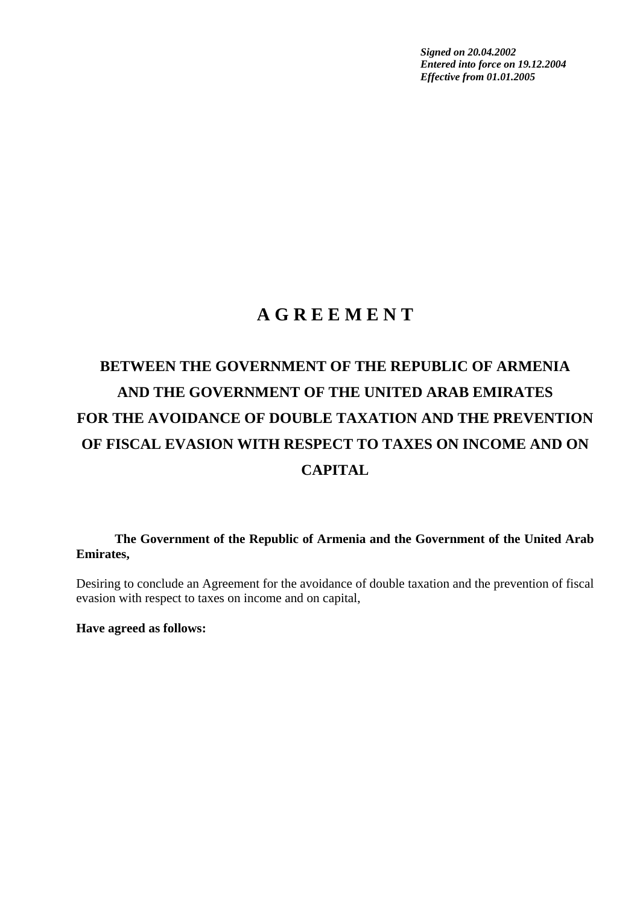*Signed on 20.04.2002 Entered into force on 19.12.2004 Effective from 01.01.2005* 

# **A G R E E M E N T**

# **BETWEEN THE GOVERNMENT OF THE REPUBLIC OF ARMENIA AND THE GOVERNMENT OF THE UNITED ARAB EMIRATES FOR THE AVOIDANCE OF DOUBLE TAXATION AND THE PREVENTION OF FISCAL EVASION WITH RESPECT TO TAXES ON INCOME AND ON CAPITAL**

 **The Government of the Republic of Armenia and the Government of the United Arab Emirates,** 

Desiring to conclude an Agreement for the avoidance of double taxation and the prevention of fiscal evasion with respect to taxes on income and on capital,

**Have agreed as follows:**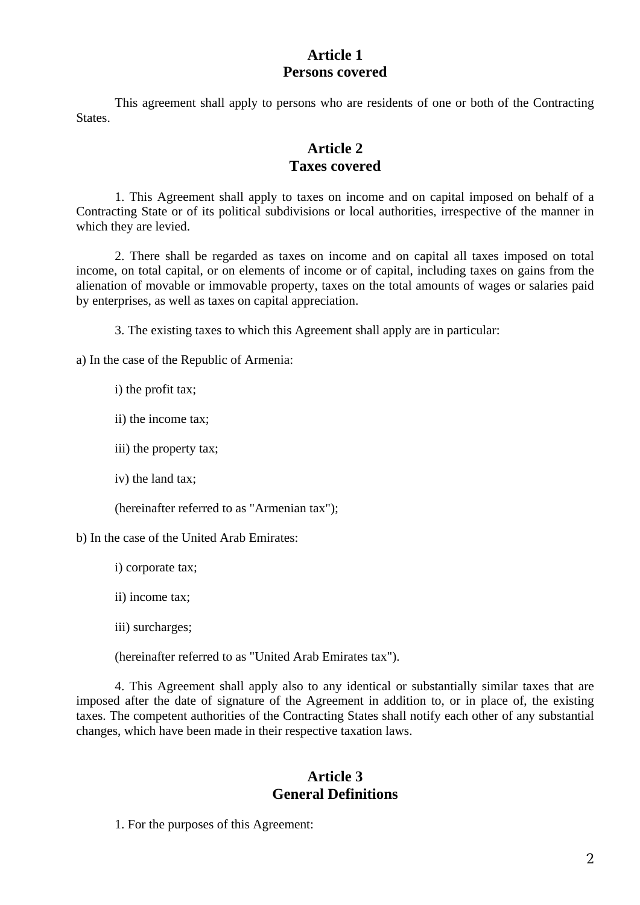#### **Article 1 Persons covered**

This agreement shall apply to persons who are residents of one or both of the Contracting States.

# **Article 2 Taxes covered**

1. This Agreement shall apply to taxes on income and on capital imposed on behalf of a Contracting State or of its political subdivisions or local authorities, irrespective of the manner in which they are levied.

2. There shall be regarded as taxes on income and on capital all taxes imposed on total income, on total capital, or on elements of income or of capital, including taxes on gains from the alienation of movable or immovable property, taxes on the total amounts of wages or salaries paid by enterprises, as well as taxes on capital appreciation.

3. The existing taxes to which this Agreement shall apply are in particular:

a) In the case of the Republic of Armenia:

i) the profit tax;

ii) the income tax;

iii) the property tax;

iv) the land tax;

(hereinafter referred to as "Armenian tax");

b) In the case of the United Arab Emirates:

i) corporate tax;

ii) income tax;

iii) surcharges;

(hereinafter referred to as "United Arab Emirates tax").

4. This Agreement shall apply also to any identical or substantially similar taxes that are imposed after the date of signature of the Agreement in addition to, or in place of, the existing taxes. The competent authorities of the Contracting States shall notify each other of any substantial changes, which have been made in their respective taxation laws.

#### **Article 3 General Definitions**

1. For the purposes of this Agreement: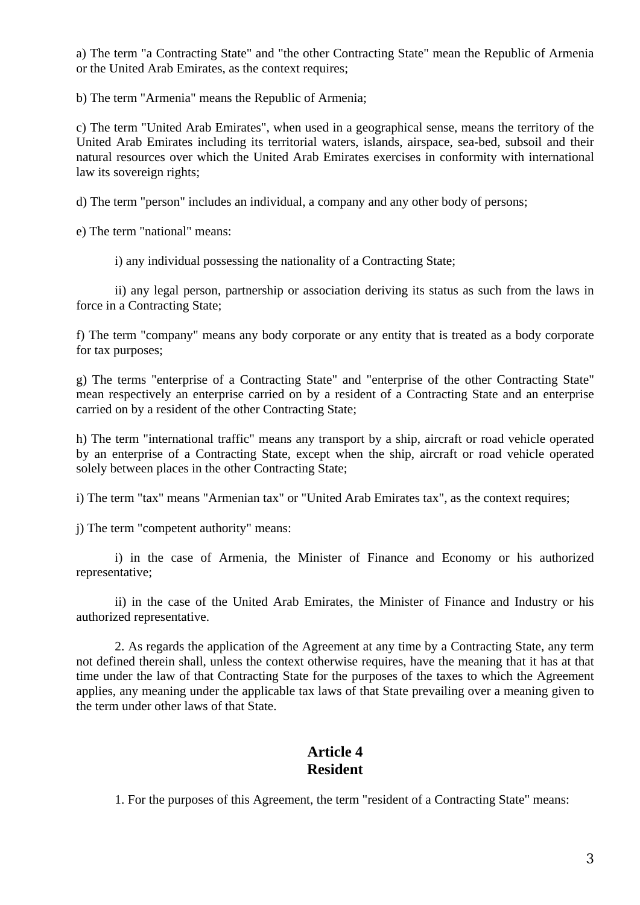a) The term "a Contracting State" and "the other Contracting State" mean the Republic of Armenia or the United Arab Emirates, as the context requires;

b) The term "Armenia" means the Republic of Armenia;

c) The term "United Arab Emirates", when used in a geographical sense, means the territory of the United Arab Emirates including its territorial waters, islands, airspace, sea-bed, subsoil and their natural resources over which the United Arab Emirates exercises in conformity with international law its sovereign rights;

d) The term "person" includes an individual, a company and any other body of persons;

e) The term "national" means:

i) any individual possessing the nationality of a Contracting State;

ii) any legal person, partnership or association deriving its status as such from the laws in force in a Contracting State;

f) The term "company" means any body corporate or any entity that is treated as a body corporate for tax purposes;

g) The terms "enterprise of a Contracting State" and "enterprise of the other Contracting State" mean respectively an enterprise carried on by a resident of a Contracting State and an enterprise carried on by a resident of the other Contracting State;

h) The term "international traffic" means any transport by a ship, aircraft or road vehicle operated by an enterprise of a Contracting State, except when the ship, aircraft or road vehicle operated solely between places in the other Contracting State;

i) The term "tax" means "Armenian tax" or "United Arab Emirates tax", as the context requires;

j) The term "competent authority" means:

i) in the case of Armenia, the Minister of Finance and Economy or his authorized representative;

ii) in the case of the United Arab Emirates, the Minister of Finance and Industry or his authorized representative.

2. As regards the application of the Agreement at any time by a Contracting State, any term not defined therein shall, unless the context otherwise requires, have the meaning that it has at that time under the law of that Contracting State for the purposes of the taxes to which the Agreement applies, any meaning under the applicable tax laws of that State prevailing over a meaning given to the term under other laws of that State.

# **Article 4 Resident**

1. For the purposes of this Agreement, the term "resident of a Contracting State" means: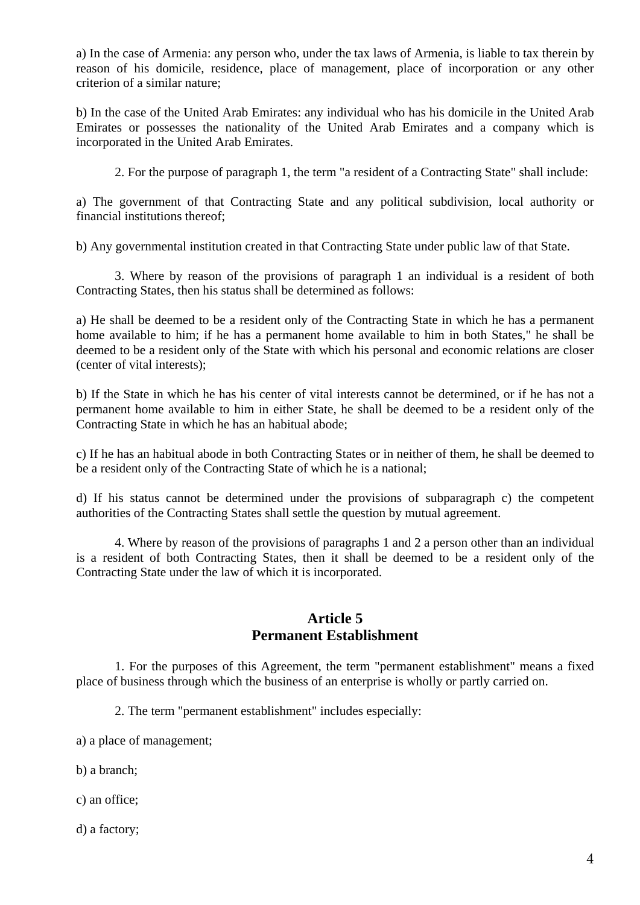a) In the case of Armenia: any person who, under the tax laws of Armenia, is liable to tax therein by reason of his domicile, residence, place of management, place of incorporation or any other criterion of a similar nature;

b) In the case of the United Arab Emirates: any individual who has his domicile in the United Arab Emirates or possesses the nationality of the United Arab Emirates and a company which is incorporated in the United Arab Emirates.

2. For the purpose of paragraph 1, the term "a resident of a Contracting State" shall include:

a) The government of that Contracting State and any political subdivision, local authority or financial institutions thereof;

b) Any governmental institution created in that Contracting State under public law of that State.

3. Where by reason of the provisions of paragraph 1 an individual is a resident of both Contracting States, then his status shall be determined as follows:

a) He shall be deemed to be a resident only of the Contracting State in which he has a permanent home available to him; if he has a permanent home available to him in both States," he shall be deemed to be a resident only of the State with which his personal and economic relations are closer (center of vital interests);

b) If the State in which he has his center of vital interests cannot be determined, or if he has not a permanent home available to him in either State, he shall be deemed to be a resident only of the Contracting State in which he has an habitual abode;

c) If he has an habitual abode in both Contracting States or in neither of them, he shall be deemed to be a resident only of the Contracting State of which he is a national;

d) If his status cannot be determined under the provisions of subparagraph c) the competent authorities of the Contracting States shall settle the question by mutual agreement.

4. Where by reason of the provisions of paragraphs 1 and 2 a person other than an individual is a resident of both Contracting States, then it shall be deemed to be a resident only of the Contracting State under the law of which it is incorporated.

### **Article 5 Permanent Establishment**

1. For the purposes of this Agreement, the term "permanent establishment" means a fixed place of business through which the business of an enterprise is wholly or partly carried on.

2. The term "permanent establishment" includes especially:

a) a place of management;

b) a branch;

c) an office;

d) a factory;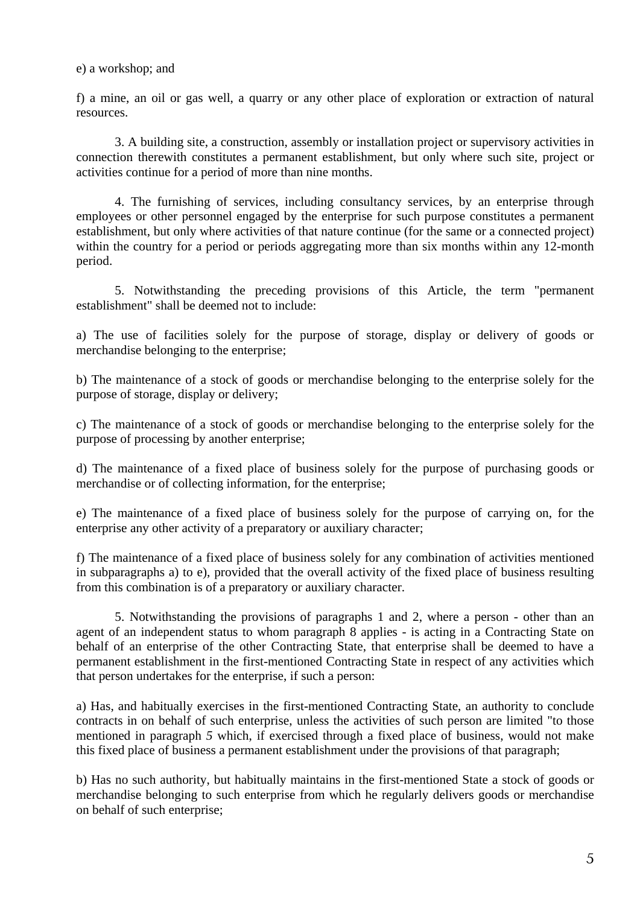e) a workshop; and

f) a mine, an oil or gas well, a quarry or any other place of exploration or extraction of natural resources.

3. A building site, a construction, assembly or installation project or supervisory activities in connection therewith constitutes a permanent establishment, but only where such site, project or activities continue for a period of more than nine months.

4. The furnishing of services, including consultancy services, by an enterprise through employees or other personnel engaged by the enterprise for such purpose constitutes a permanent establishment, but only where activities of that nature continue (for the same or a connected project) within the country for a period or periods aggregating more than six months within any 12-month period.

5. Notwithstanding the preceding provisions of this Article, the term "permanent establishment" shall be deemed not to include:

a) The use of facilities solely for the purpose of storage, display or delivery of goods or merchandise belonging to the enterprise;

b) The maintenance of a stock of goods or merchandise belonging to the enterprise solely for the purpose of storage, display or delivery;

c) The maintenance of a stock of goods or merchandise belonging to the enterprise solely for the purpose of processing by another enterprise;

d) The maintenance of a fixed place of business solely for the purpose of purchasing goods or merchandise or of collecting information, for the enterprise;

e) The maintenance of a fixed place of business solely for the purpose of carrying on, for the enterprise any other activity of a preparatory or auxiliary character;

f) The maintenance of a fixed place of business solely for any combination of activities mentioned in subparagraphs a) to e), provided that the overall activity of the fixed place of business resulting from this combination is of a preparatory or auxiliary character.

5. Notwithstanding the provisions of paragraphs 1 and 2, where a person - other than an agent of an independent status to whom paragraph 8 applies - is acting in a Contracting State on behalf of an enterprise of the other Contracting State, that enterprise shall be deemed to have a permanent establishment in the first-mentioned Contracting State in respect of any activities which that person undertakes for the enterprise, if such a person:

a) Has, and habitually exercises in the first-mentioned Contracting State, an authority to conclude contracts in on behalf of such enterprise, unless the activities of such person are limited "to those mentioned in paragraph *5* which, if exercised through a fixed place of business, would not make this fixed place of business a permanent establishment under the provisions of that paragraph;

b) Has no such authority, but habitually maintains in the first-mentioned State a stock of goods or merchandise belonging to such enterprise from which he regularly delivers goods or merchandise on behalf of such enterprise;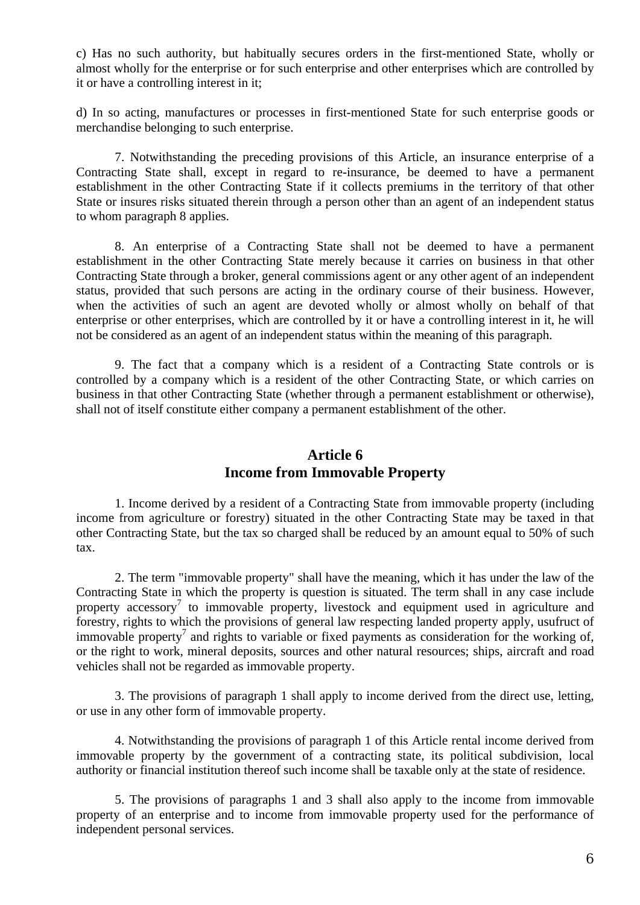c) Has no such authority, but habitually secures orders in the first-mentioned State, wholly or almost wholly for the enterprise or for such enterprise and other enterprises which are controlled by it or have a controlling interest in it;

d) In so acting, manufactures or processes in first-mentioned State for such enterprise goods or merchandise belonging to such enterprise.

7. Notwithstanding the preceding provisions of this Article, an insurance enterprise of a Contracting State shall, except in regard to re-insurance, be deemed to have a permanent establishment in the other Contracting State if it collects premiums in the territory of that other State or insures risks situated therein through a person other than an agent of an independent status to whom paragraph 8 applies.

8. An enterprise of a Contracting State shall not be deemed to have a permanent establishment in the other Contracting State merely because it carries on business in that other Contracting State through a broker, general commissions agent or any other agent of an independent status, provided that such persons are acting in the ordinary course of their business. However, when the activities of such an agent are devoted wholly or almost wholly on behalf of that enterprise or other enterprises, which are controlled by it or have a controlling interest in it, he will not be considered as an agent of an independent status within the meaning of this paragraph.

9. The fact that a company which is a resident of a Contracting State controls or is controlled by a company which is a resident of the other Contracting State, or which carries on business in that other Contracting State (whether through a permanent establishment or otherwise), shall not of itself constitute either company a permanent establishment of the other.

#### **Article 6 Income from Immovable Property**

1. Income derived by a resident of a Contracting State from immovable property (including income from agriculture or forestry) situated in the other Contracting State may be taxed in that other Contracting State, but the tax so charged shall be reduced by an amount equal to 50% of such tax.

2. The term "immovable property" shall have the meaning, which it has under the law of the Contracting State in which the property is question is situated. The term shall in any case include property accessory<sup>7</sup> to immovable property, livestock and equipment used in agriculture and forestry, rights to which the provisions of general law respecting landed property apply, usufruct of immovable property<sup>7</sup> and rights to variable or fixed payments as consideration for the working of, or the right to work, mineral deposits, sources and other natural resources; ships, aircraft and road vehicles shall not be regarded as immovable property.

3. The provisions of paragraph 1 shall apply to income derived from the direct use, letting, or use in any other form of immovable property.

4. Notwithstanding the provisions of paragraph 1 of this Article rental income derived from immovable property by the government of a contracting state, its political subdivision, local authority or financial institution thereof such income shall be taxable only at the state of residence.

5. The provisions of paragraphs 1 and 3 shall also apply to the income from immovable property of an enterprise and to income from immovable property used for the performance of independent personal services.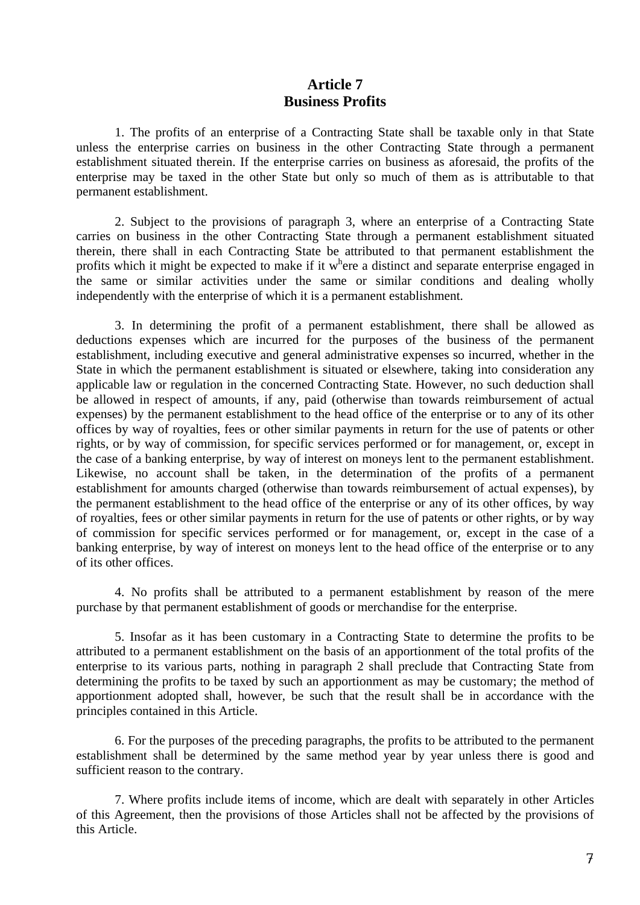#### **Article 7 Business Profits**

1. The profits of an enterprise of a Contracting State shall be taxable only in that State unless the enterprise carries on business in the other Contracting State through a permanent establishment situated therein. If the enterprise carries on business as aforesaid, the profits of the enterprise may be taxed in the other State but only so much of them as is attributable to that permanent establishment.

2. Subject to the provisions of paragraph 3, where an enterprise of a Contracting State carries on business in the other Contracting State through a permanent establishment situated therein, there shall in each Contracting State be attributed to that permanent establishment the profits which it might be expected to make if it  $w^h$ ere a distinct and separate enterprise engaged in the same or similar activities under the same or similar conditions and dealing wholly independently with the enterprise of which it is a permanent establishment.

3. In determining the profit of a permanent establishment, there shall be allowed as deductions expenses which are incurred for the purposes of the business of the permanent establishment, including executive and general administrative expenses so incurred, whether in the State in which the permanent establishment is situated or elsewhere, taking into consideration any applicable law or regulation in the concerned Contracting State. However, no such deduction shall be allowed in respect of amounts, if any, paid (otherwise than towards reimbursement of actual expenses) by the permanent establishment to the head office of the enterprise or to any of its other offices by way of royalties, fees or other similar payments in return for the use of patents or other rights, or by way of commission, for specific services performed or for management, or, except in the case of a banking enterprise, by way of interest on moneys lent to the permanent establishment. Likewise, no account shall be taken, in the determination of the profits of a permanent establishment for amounts charged (otherwise than towards reimbursement of actual expenses), by the permanent establishment to the head office of the enterprise or any of its other offices, by way of royalties, fees or other similar payments in return for the use of patents or other rights, or by way of commission for specific services performed or for management, or, except in the case of a banking enterprise, by way of interest on moneys lent to the head office of the enterprise or to any of its other offices.

4. No profits shall be attributed to a permanent establishment by reason of the mere purchase by that permanent establishment of goods or merchandise for the enterprise.

5. Insofar as it has been customary in a Contracting State to determine the profits to be attributed to a permanent establishment on the basis of an apportionment of the total profits of the enterprise to its various parts, nothing in paragraph 2 shall preclude that Contracting State from determining the profits to be taxed by such an apportionment as may be customary; the method of apportionment adopted shall, however, be such that the result shall be in accordance with the principles contained in this Article.

6. For the purposes of the preceding paragraphs, the profits to be attributed to the permanent establishment shall be determined by the same method year by year unless there is good and sufficient reason to the contrary.

7. Where profits include items of income, which are dealt with separately in other Articles of this Agreement, then the provisions of those Articles shall not be affected by the provisions of this Article.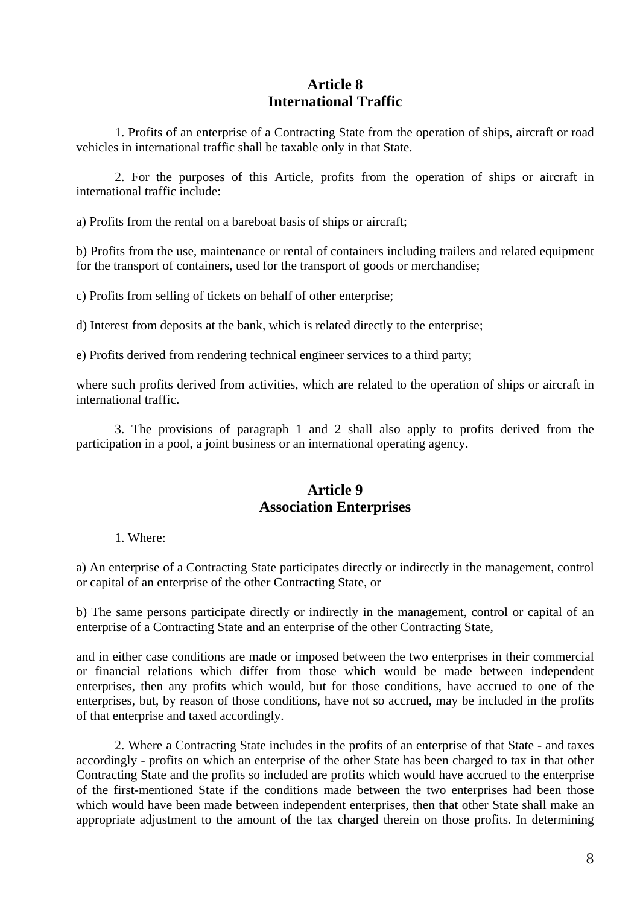# **Article 8 International Traffic**

1. Profits of an enterprise of a Contracting State from the operation of ships, aircraft or road vehicles in international traffic shall be taxable only in that State.

2. For the purposes of this Article, profits from the operation of ships or aircraft in international traffic include:

a) Profits from the rental on a bareboat basis of ships or aircraft;

b) Profits from the use, maintenance or rental of containers including trailers and related equipment for the transport of containers, used for the transport of goods or merchandise;

c) Profits from selling of tickets on behalf of other enterprise;

d) Interest from deposits at the bank, which is related directly to the enterprise;

e) Profits derived from rendering technical engineer services to a third party;

where such profits derived from activities, which are related to the operation of ships or aircraft in international traffic.

3. The provisions of paragraph 1 and 2 shall also apply to profits derived from the participation in a pool, a joint business or an international operating agency.

### **Article 9 Association Enterprises**

#### 1. Where:

a) An enterprise of a Contracting State participates directly or indirectly in the management, control or capital of an enterprise of the other Contracting State, or

b) The same persons participate directly or indirectly in the management, control or capital of an enterprise of a Contracting State and an enterprise of the other Contracting State,

and in either case conditions are made or imposed between the two enterprises in their commercial or financial relations which differ from those which would be made between independent enterprises, then any profits which would, but for those conditions, have accrued to one of the enterprises, but, by reason of those conditions, have not so accrued, may be included in the profits of that enterprise and taxed accordingly.

2. Where a Contracting State includes in the profits of an enterprise of that State - and taxes accordingly - profits on which an enterprise of the other State has been charged to tax in that other Contracting State and the profits so included are profits which would have accrued to the enterprise of the first-mentioned State if the conditions made between the two enterprises had been those which would have been made between independent enterprises, then that other State shall make an appropriate adjustment to the amount of the tax charged therein on those profits. In determining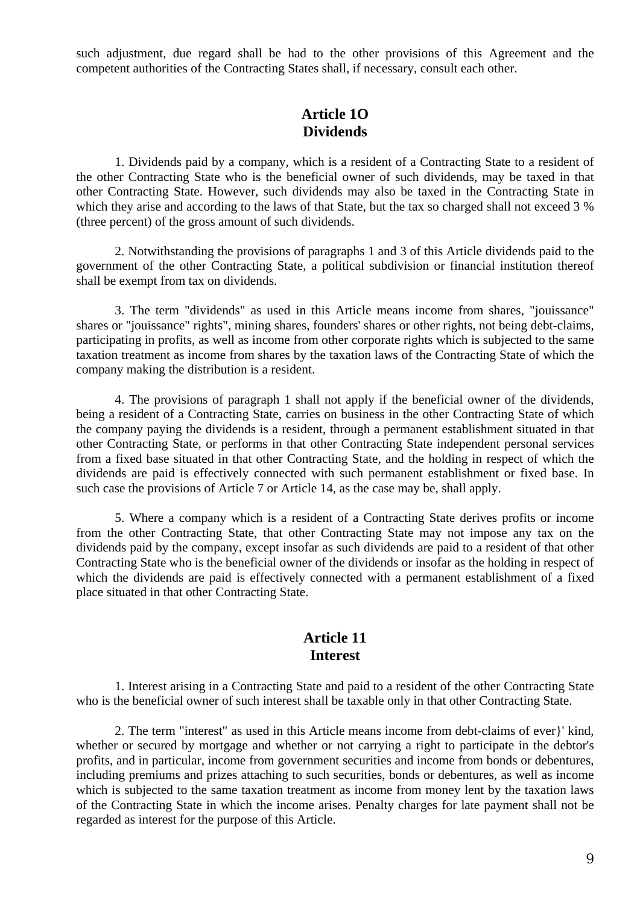such adjustment, due regard shall be had to the other provisions of this Agreement and the competent authorities of the Contracting States shall, if necessary, consult each other.

## **Article 1O Dividends**

1. Dividends paid by a company, which is a resident of a Contracting State to a resident of the other Contracting State who is the beneficial owner of such dividends, may be taxed in that other Contracting State. However, such dividends may also be taxed in the Contracting State in which they arise and according to the laws of that State, but the tax so charged shall not exceed 3 % (three percent) of the gross amount of such dividends.

2. Notwithstanding the provisions of paragraphs 1 and 3 of this Article dividends paid to the government of the other Contracting State, a political subdivision or financial institution thereof shall be exempt from tax on dividends.

3. The term "dividends" as used in this Article means income from shares, "jouissance" shares or "jouissance" rights", mining shares, founders' shares or other rights, not being debt-claims, participating in profits, as well as income from other corporate rights which is subjected to the same taxation treatment as income from shares by the taxation laws of the Contracting State of which the company making the distribution is a resident.

4. The provisions of paragraph 1 shall not apply if the beneficial owner of the dividends, being a resident of a Contracting State, carries on business in the other Contracting State of which the company paying the dividends is a resident, through a permanent establishment situated in that other Contracting State, or performs in that other Contracting State independent personal services from a fixed base situated in that other Contracting State, and the holding in respect of which the dividends are paid is effectively connected with such permanent establishment or fixed base. In such case the provisions of Article 7 or Article 14, as the case may be, shall apply.

5. Where a company which is a resident of a Contracting State derives profits or income from the other Contracting State, that other Contracting State may not impose any tax on the dividends paid by the company, except insofar as such dividends are paid to a resident of that other Contracting State who is the beneficial owner of the dividends or insofar as the holding in respect of which the dividends are paid is effectively connected with a permanent establishment of a fixed place situated in that other Contracting State.

#### **Article 11 Interest**

1. Interest arising in a Contracting State and paid to a resident of the other Contracting State who is the beneficial owner of such interest shall be taxable only in that other Contracting State.

2. The term "interest" as used in this Article means income from debt-claims of ever}' kind, whether or secured by mortgage and whether or not carrying a right to participate in the debtor's profits, and in particular, income from government securities and income from bonds or debentures, including premiums and prizes attaching to such securities, bonds or debentures, as well as income which is subjected to the same taxation treatment as income from money lent by the taxation laws of the Contracting State in which the income arises. Penalty charges for late payment shall not be regarded as interest for the purpose of this Article.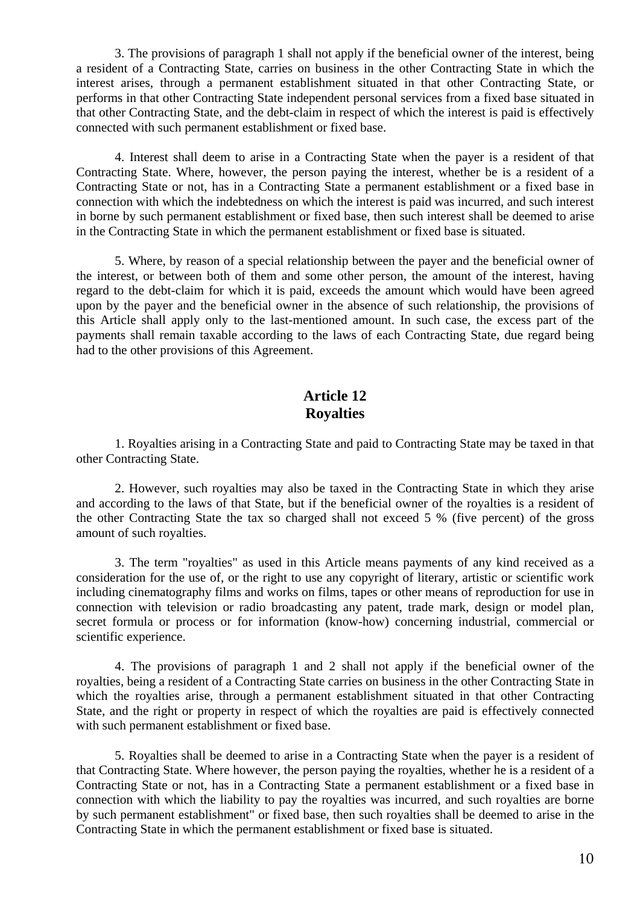3. The provisions of paragraph 1 shall not apply if the beneficial owner of the interest, being a resident of a Contracting State, carries on business in the other Contracting State in which the interest arises, through a permanent establishment situated in that other Contracting State, or performs in that other Contracting State independent personal services from a fixed base situated in that other Contracting State, and the debt-claim in respect of which the interest is paid is effectively connected with such permanent establishment or fixed base.

4. Interest shall deem to arise in a Contracting State when the payer is a resident of that Contracting State. Where, however, the person paying the interest, whether be is a resident of a Contracting State or not, has in a Contracting State a permanent establishment or a fixed base in connection with which the indebtedness on which the interest is paid was incurred, and such interest in borne by such permanent establishment or fixed base, then such interest shall be deemed to arise in the Contracting State in which the permanent establishment or fixed base is situated.

5. Where, by reason of a special relationship between the payer and the beneficial owner of the interest, or between both of them and some other person, the amount of the interest, having regard to the debt-claim for which it is paid, exceeds the amount which would have been agreed upon by the payer and the beneficial owner in the absence of such relationship, the provisions of this Article shall apply only to the last-mentioned amount. In such case, the excess part of the payments shall remain taxable according to the laws of each Contracting State, due regard being had to the other provisions of this Agreement.

# **Article 12 Royalties**

1. Royalties arising in a Contracting State and paid to Contracting State may be taxed in that other Contracting State.

2. However, such royalties may also be taxed in the Contracting State in which they arise and according to the laws of that State, but if the beneficial owner of the royalties is a resident of the other Contracting State the tax so charged shall not exceed 5 % (five percent) of the gross amount of such royalties.

3. The term "royalties" as used in this Article means payments of any kind received as a consideration for the use of, or the right to use any copyright of literary, artistic or scientific work including cinematography films and works on films, tapes or other means of reproduction for use in connection with television or radio broadcasting any patent, trade mark, design or model plan, secret formula or process or for information (know-how) concerning industrial, commercial or scientific experience.

4. The provisions of paragraph 1 and 2 shall not apply if the beneficial owner of the royalties, being a resident of a Contracting State carries on business in the other Contracting State in which the royalties arise, through a permanent establishment situated in that other Contracting State, and the right or property in respect of which the royalties are paid is effectively connected with such permanent establishment or fixed base.

5. Royalties shall be deemed to arise in a Contracting State when the payer is a resident of that Contracting State. Where however, the person paying the royalties, whether he is a resident of a Contracting State or not, has in a Contracting State a permanent establishment or a fixed base in connection with which the liability to pay the royalties was incurred, and such royalties are borne by such permanent establishment" or fixed base, then such royalties shall be deemed to arise in the Contracting State in which the permanent establishment or fixed base is situated.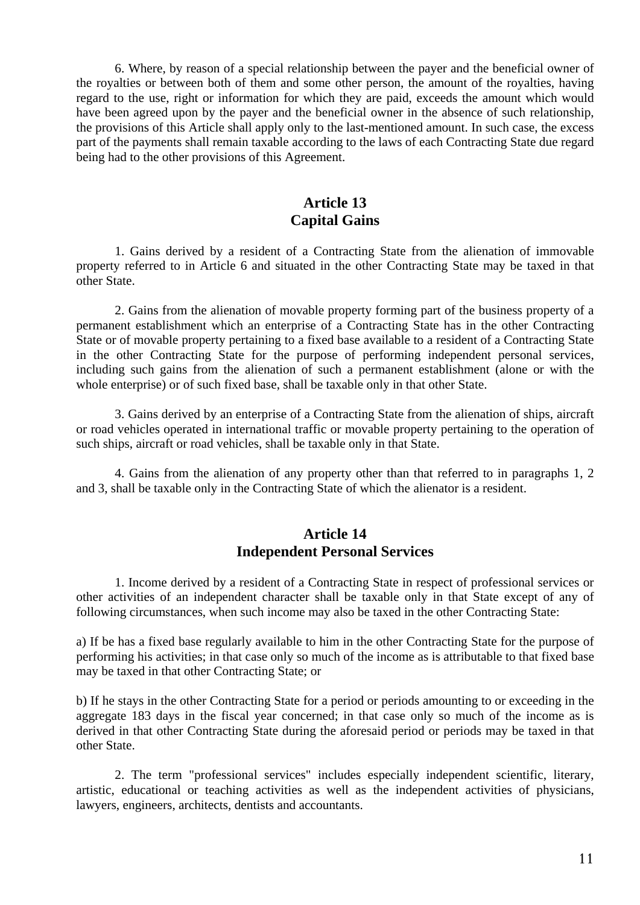6. Where, by reason of a special relationship between the payer and the beneficial owner of the royalties or between both of them and some other person, the amount of the royalties, having regard to the use, right or information for which they are paid, exceeds the amount which would have been agreed upon by the payer and the beneficial owner in the absence of such relationship, the provisions of this Article shall apply only to the last-mentioned amount. In such case, the excess part of the payments shall remain taxable according to the laws of each Contracting State due regard being had to the other provisions of this Agreement.

#### **Article 13 Capital Gains**

1. Gains derived by a resident of a Contracting State from the alienation of immovable property referred to in Article 6 and situated in the other Contracting State may be taxed in that other State.

2. Gains from the alienation of movable property forming part of the business property of a permanent establishment which an enterprise of a Contracting State has in the other Contracting State or of movable property pertaining to a fixed base available to a resident of a Contracting State in the other Contracting State for the purpose of performing independent personal services, including such gains from the alienation of such a permanent establishment (alone or with the whole enterprise) or of such fixed base, shall be taxable only in that other State.

3. Gains derived by an enterprise of a Contracting State from the alienation of ships, aircraft or road vehicles operated in international traffic or movable property pertaining to the operation of such ships, aircraft or road vehicles, shall be taxable only in that State.

4. Gains from the alienation of any property other than that referred to in paragraphs 1, 2 and 3, shall be taxable only in the Contracting State of which the alienator is a resident.

#### **Article 14 Independent Personal Services**

1. Income derived by a resident of a Contracting State in respect of professional services or other activities of an independent character shall be taxable only in that State except of any of following circumstances, when such income may also be taxed in the other Contracting State:

a) If be has a fixed base regularly available to him in the other Contracting State for the purpose of performing his activities; in that case only so much of the income as is attributable to that fixed base may be taxed in that other Contracting State; or

b) If he stays in the other Contracting State for a period or periods amounting to or exceeding in the aggregate 183 days in the fiscal year concerned; in that case only so much of the income as is derived in that other Contracting State during the aforesaid period or periods may be taxed in that other State.

2. The term "professional services" includes especially independent scientific, literary, artistic, educational or teaching activities as well as the independent activities of physicians, lawyers, engineers, architects, dentists and accountants.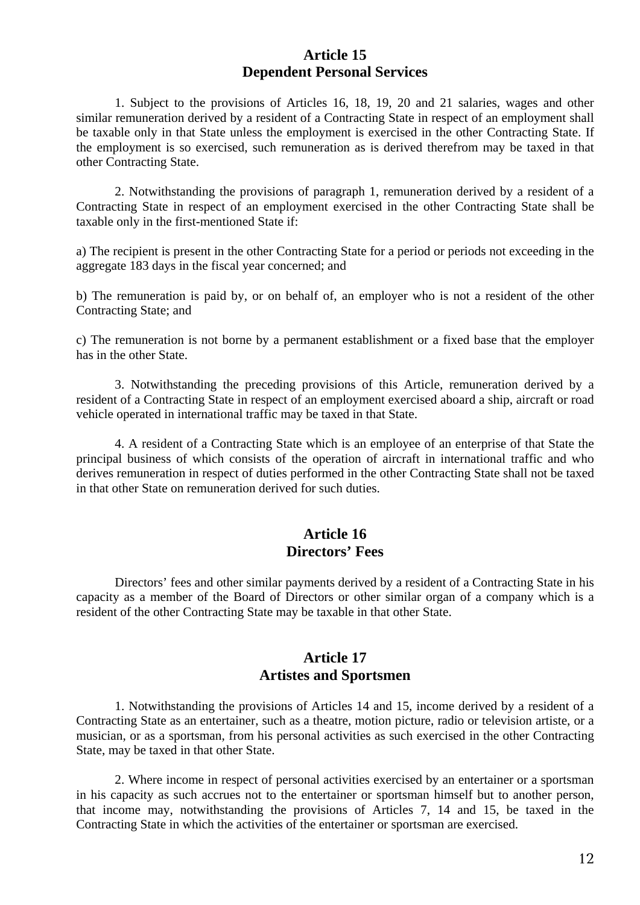#### **Article 15 Dependent Personal Services**

1. Subject to the provisions of Articles 16, 18, 19, 20 and 21 salaries, wages and other similar remuneration derived by a resident of a Contracting State in respect of an employment shall be taxable only in that State unless the employment is exercised in the other Contracting State. If the employment is so exercised, such remuneration as is derived therefrom may be taxed in that other Contracting State.

2. Notwithstanding the provisions of paragraph 1, remuneration derived by a resident of a Contracting State in respect of an employment exercised in the other Contracting State shall be taxable only in the first-mentioned State if:

a) The recipient is present in the other Contracting State for a period or periods not exceeding in the aggregate 183 days in the fiscal year concerned; and

b) The remuneration is paid by, or on behalf of, an employer who is not a resident of the other Contracting State; and

c) The remuneration is not borne by a permanent establishment or a fixed base that the employer has in the other State.

3. Notwithstanding the preceding provisions of this Article, remuneration derived by a resident of a Contracting State in respect of an employment exercised aboard a ship, aircraft or road vehicle operated in international traffic may be taxed in that State.

4. A resident of a Contracting State which is an employee of an enterprise of that State the principal business of which consists of the operation of aircraft in international traffic and who derives remuneration in respect of duties performed in the other Contracting State shall not be taxed in that other State on remuneration derived for such duties.

#### **Article 16 Directors' Fees**

Directors' fees and other similar payments derived by a resident of a Contracting State in his capacity as a member of the Board of Directors or other similar organ of a company which is a resident of the other Contracting State may be taxable in that other State.

#### **Article 17 Artistes and Sportsmen**

1. Notwithstanding the provisions of Articles 14 and 15, income derived by a resident of a Contracting State as an entertainer, such as a theatre, motion picture, radio or television artiste, or a musician, or as a sportsman, from his personal activities as such exercised in the other Contracting State, may be taxed in that other State.

2. Where income in respect of personal activities exercised by an entertainer or a sportsman in his capacity as such accrues not to the entertainer or sportsman himself but to another person, that income may, notwithstanding the provisions of Articles 7, 14 and 15, be taxed in the Contracting State in which the activities of the entertainer or sportsman are exercised.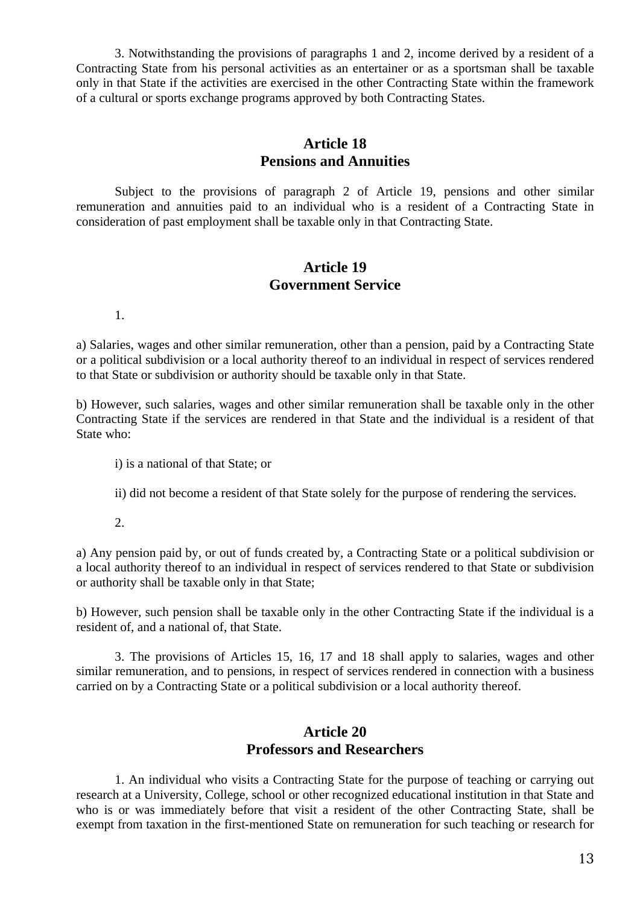3. Notwithstanding the provisions of paragraphs 1 and 2, income derived by a resident of a Contracting State from his personal activities as an entertainer or as a sportsman shall be taxable only in that State if the activities are exercised in the other Contracting State within the framework of a cultural or sports exchange programs approved by both Contracting States.

#### **Article 18 Pensions and Annuities**

Subject to the provisions of paragraph 2 of Article 19, pensions and other similar remuneration and annuities paid to an individual who is a resident of a Contracting State in consideration of past employment shall be taxable only in that Contracting State.

#### **Article 19 Government Service**

1.

a) Salaries, wages and other similar remuneration, other than a pension, paid by a Contracting State or a political subdivision or a local authority thereof to an individual in respect of services rendered to that State or subdivision or authority should be taxable only in that State.

b) However, such salaries, wages and other similar remuneration shall be taxable only in the other Contracting State if the services are rendered in that State and the individual is a resident of that State who:

i) is a national of that State; or

ii) did not become a resident of that State solely for the purpose of rendering the services.

2.

a) Any pension paid by, or out of funds created by, a Contracting State or a political subdivision or a local authority thereof to an individual in respect of services rendered to that State or subdivision or authority shall be taxable only in that State;

b) However, such pension shall be taxable only in the other Contracting State if the individual is a resident of, and a national of, that State.

3. The provisions of Articles 15, 16, 17 and 18 shall apply to salaries, wages and other similar remuneration, and to pensions, in respect of services rendered in connection with a business carried on by a Contracting State or a political subdivision or a local authority thereof.

#### **Article 20 Professors and Researchers**

1. An individual who visits a Contracting State for the purpose of teaching or carrying out research at a University, College, school or other recognized educational institution in that State and who is or was immediately before that visit a resident of the other Contracting State, shall be exempt from taxation in the first-mentioned State on remuneration for such teaching or research for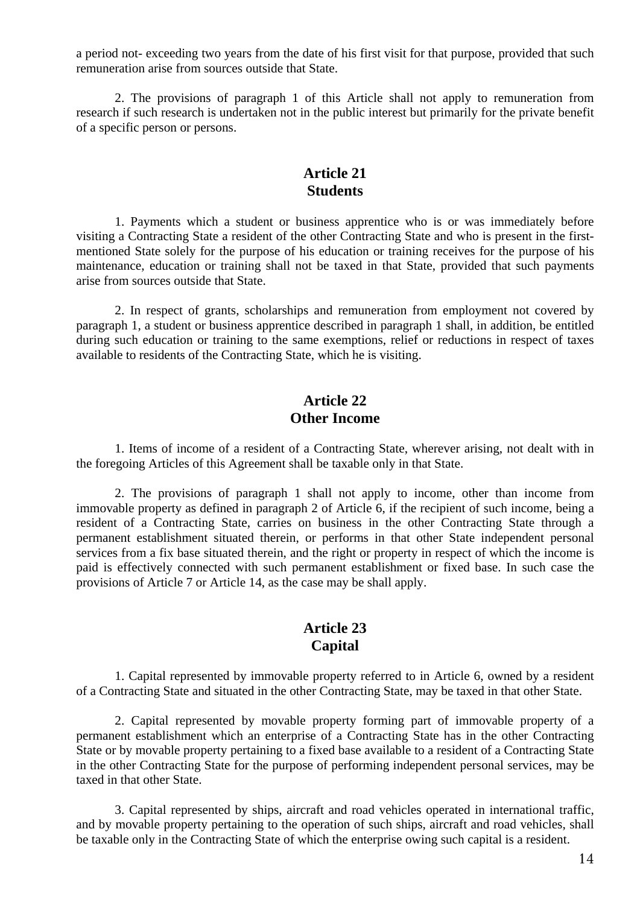a period not- exceeding two years from the date of his first visit for that purpose, provided that such remuneration arise from sources outside that State.

2. The provisions of paragraph 1 of this Article shall not apply to remuneration from research if such research is undertaken not in the public interest but primarily for the private benefit of a specific person or persons.

#### **Article 21 Students**

1. Payments which a student or business apprentice who is or was immediately before visiting a Contracting State a resident of the other Contracting State and who is present in the firstmentioned State solely for the purpose of his education or training receives for the purpose of his maintenance, education or training shall not be taxed in that State, provided that such payments arise from sources outside that State.

2. In respect of grants, scholarships and remuneration from employment not covered by paragraph 1, a student or business apprentice described in paragraph 1 shall, in addition, be entitled during such education or training to the same exemptions, relief or reductions in respect of taxes available to residents of the Contracting State, which he is visiting.

#### **Article 22 Other Income**

1. Items of income of a resident of a Contracting State, wherever arising, not dealt with in the foregoing Articles of this Agreement shall be taxable only in that State.

2. The provisions of paragraph 1 shall not apply to income, other than income from immovable property as defined in paragraph 2 of Article 6, if the recipient of such income, being a resident of a Contracting State, carries on business in the other Contracting State through a permanent establishment situated therein, or performs in that other State independent personal services from a fix base situated therein, and the right or property in respect of which the income is paid is effectively connected with such permanent establishment or fixed base. In such case the provisions of Article 7 or Article 14, as the case may be shall apply.

### **Article 23 Capital**

1. Capital represented by immovable property referred to in Article 6, owned by a resident of a Contracting State and situated in the other Contracting State, may be taxed in that other State.

2. Capital represented by movable property forming part of immovable property of a permanent establishment which an enterprise of a Contracting State has in the other Contracting State or by movable property pertaining to a fixed base available to a resident of a Contracting State in the other Contracting State for the purpose of performing independent personal services, may be taxed in that other State.

3. Capital represented by ships, aircraft and road vehicles operated in international traffic, and by movable property pertaining to the operation of such ships, aircraft and road vehicles, shall be taxable only in the Contracting State of which the enterprise owing such capital is a resident.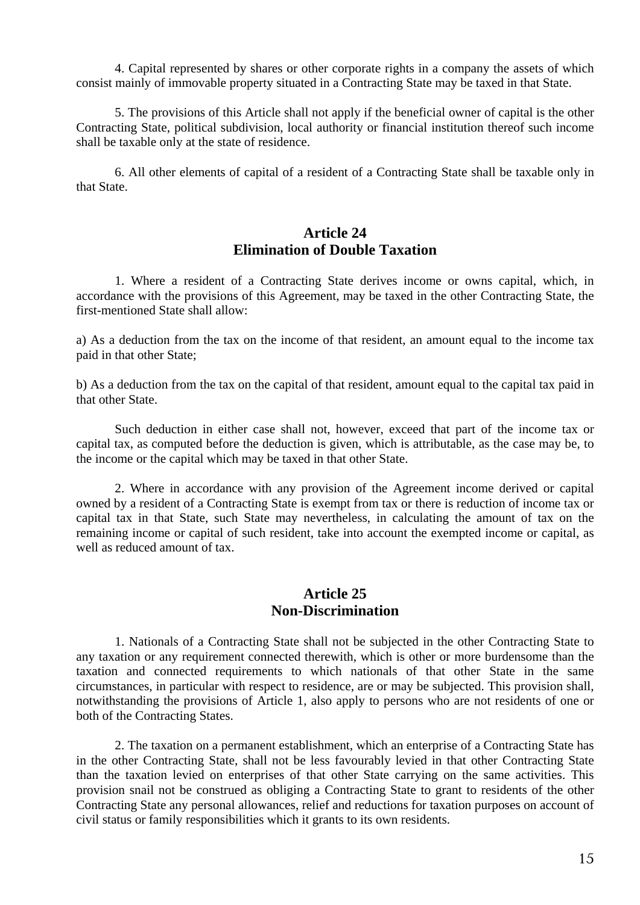4. Capital represented by shares or other corporate rights in a company the assets of which consist mainly of immovable property situated in a Contracting State may be taxed in that State.

5. The provisions of this Article shall not apply if the beneficial owner of capital is the other Contracting State, political subdivision, local authority or financial institution thereof such income shall be taxable only at the state of residence.

6. All other elements of capital of a resident of a Contracting State shall be taxable only in that State.

#### **Article 24 Elimination of Double Taxation**

1. Where a resident of a Contracting State derives income or owns capital, which, in accordance with the provisions of this Agreement, may be taxed in the other Contracting State, the first-mentioned State shall allow:

a) As a deduction from the tax on the income of that resident, an amount equal to the income tax paid in that other State;

b) As a deduction from the tax on the capital of that resident, amount equal to the capital tax paid in that other State.

Such deduction in either case shall not, however, exceed that part of the income tax or capital tax, as computed before the deduction is given, which is attributable, as the case may be, to the income or the capital which may be taxed in that other State.

2. Where in accordance with any provision of the Agreement income derived or capital owned by a resident of a Contracting State is exempt from tax or there is reduction of income tax or capital tax in that State, such State may nevertheless, in calculating the amount of tax on the remaining income or capital of such resident, take into account the exempted income or capital, as well as reduced amount of tax.

#### **Article 25 Non-Discrimination**

1. Nationals of a Contracting State shall not be subjected in the other Contracting State to any taxation or any requirement connected therewith, which is other or more burdensome than the taxation and connected requirements to which nationals of that other State in the same circumstances, in particular with respect to residence, are or may be subjected. This provision shall, notwithstanding the provisions of Article 1, also apply to persons who are not residents of one or both of the Contracting States.

2. The taxation on a permanent establishment, which an enterprise of a Contracting State has in the other Contracting State, shall not be less favourably levied in that other Contracting State than the taxation levied on enterprises of that other State carrying on the same activities. This provision snail not be construed as obliging a Contracting State to grant to residents of the other Contracting State any personal allowances, relief and reductions for taxation purposes on account of civil status or family responsibilities which it grants to its own residents.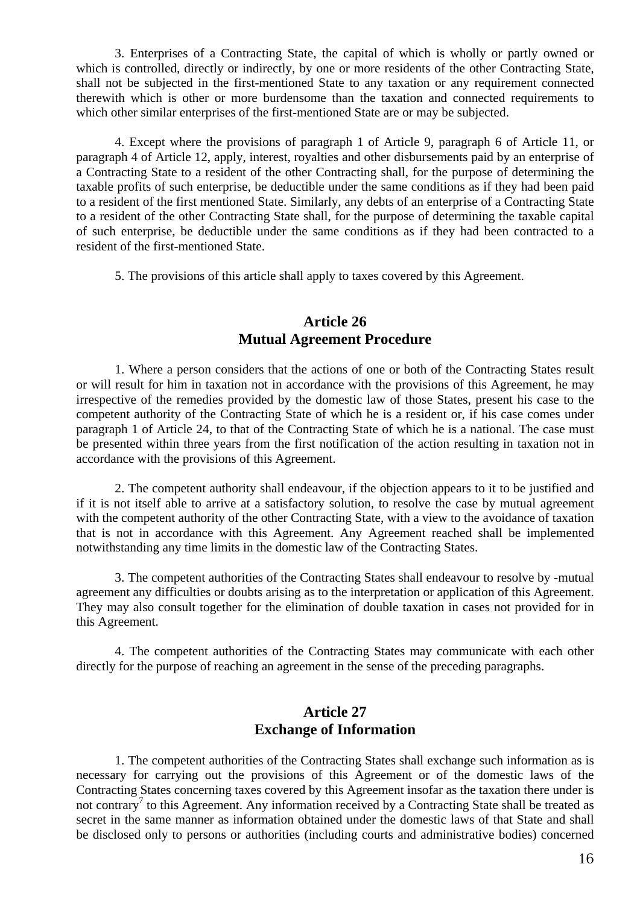3. Enterprises of a Contracting State, the capital of which is wholly or partly owned or which is controlled, directly or indirectly, by one or more residents of the other Contracting State, shall not be subjected in the first-mentioned State to any taxation or any requirement connected therewith which is other or more burdensome than the taxation and connected requirements to which other similar enterprises of the first-mentioned State are or may be subjected.

4. Except where the provisions of paragraph 1 of Article 9, paragraph 6 of Article 11, or paragraph 4 of Article 12, apply, interest, royalties and other disbursements paid by an enterprise of a Contracting State to a resident of the other Contracting shall, for the purpose of determining the taxable profits of such enterprise, be deductible under the same conditions as if they had been paid to a resident of the first mentioned State. Similarly, any debts of an enterprise of a Contracting State to a resident of the other Contracting State shall, for the purpose of determining the taxable capital of such enterprise, be deductible under the same conditions as if they had been contracted to a resident of the first-mentioned State.

5. The provisions of this article shall apply to taxes covered by this Agreement.

#### **Article 26 Mutual Agreement Procedure**

1. Where a person considers that the actions of one or both of the Contracting States result or will result for him in taxation not in accordance with the provisions of this Agreement, he may irrespective of the remedies provided by the domestic law of those States, present his case to the competent authority of the Contracting State of which he is a resident or, if his case comes under paragraph 1 of Article 24, to that of the Contracting State of which he is a national. The case must be presented within three years from the first notification of the action resulting in taxation not in accordance with the provisions of this Agreement.

2. The competent authority shall endeavour, if the objection appears to it to be justified and if it is not itself able to arrive at a satisfactory solution, to resolve the case by mutual agreement with the competent authority of the other Contracting State, with a view to the avoidance of taxation that is not in accordance with this Agreement. Any Agreement reached shall be implemented notwithstanding any time limits in the domestic law of the Contracting States.

3. The competent authorities of the Contracting States shall endeavour to resolve by -mutual agreement any difficulties or doubts arising as to the interpretation or application of this Agreement. They may also consult together for the elimination of double taxation in cases not provided for in this Agreement.

4. The competent authorities of the Contracting States may communicate with each other directly for the purpose of reaching an agreement in the sense of the preceding paragraphs.

# **Article 27 Exchange of Information**

1. The competent authorities of the Contracting States shall exchange such information as is necessary for carrying out the provisions of this Agreement or of the domestic laws of the Contracting States concerning taxes covered by this Agreement insofar as the taxation there under is not contrary<sup>7</sup> to this Agreement. Any information received by a Contracting State shall be treated as secret in the same manner as information obtained under the domestic laws of that State and shall be disclosed only to persons or authorities (including courts and administrative bodies) concerned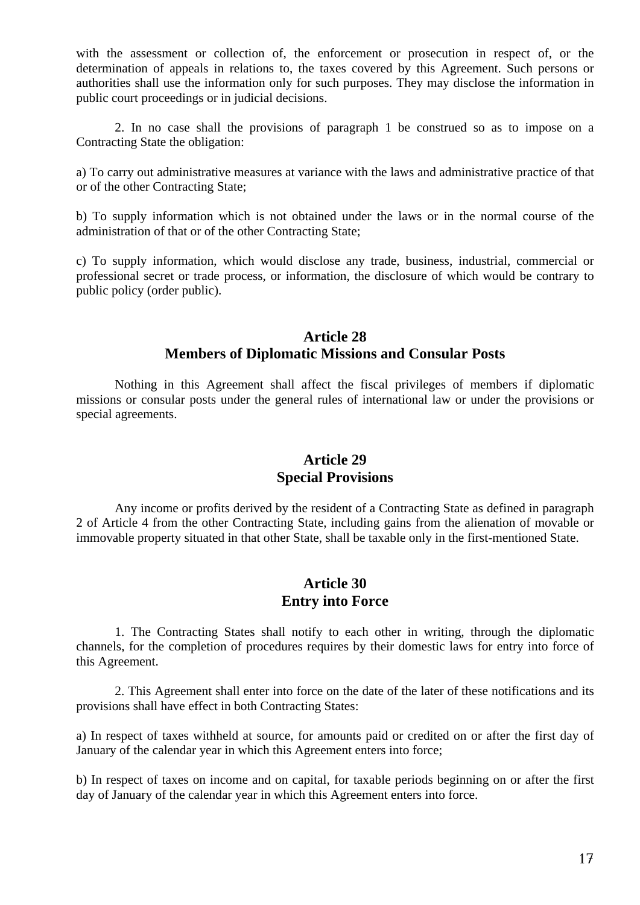with the assessment or collection of, the enforcement or prosecution in respect of, or the determination of appeals in relations to, the taxes covered by this Agreement. Such persons or authorities shall use the information only for such purposes. They may disclose the information in public court proceedings or in judicial decisions.

2. In no case shall the provisions of paragraph 1 be construed so as to impose on a Contracting State the obligation:

a) To carry out administrative measures at variance with the laws and administrative practice of that or of the other Contracting State;

b) To supply information which is not obtained under the laws or in the normal course of the administration of that or of the other Contracting State;

c) To supply information, which would disclose any trade, business, industrial, commercial or professional secret or trade process, or information, the disclosure of which would be contrary to public policy (order public).

#### **Article 28 Members of Diplomatic Missions and Consular Posts**

Nothing in this Agreement shall affect the fiscal privileges of members if diplomatic missions or consular posts under the general rules of international law or under the provisions or special agreements.

# **Article 29 Special Provisions**

Any income or profits derived by the resident of a Contracting State as defined in paragraph 2 of Article 4 from the other Contracting State, including gains from the alienation of movable or immovable property situated in that other State, shall be taxable only in the first-mentioned State.

### **Article 30 Entry into Force**

1. The Contracting States shall notify to each other in writing, through the diplomatic channels, for the completion of procedures requires by their domestic laws for entry into force of this Agreement.

2. This Agreement shall enter into force on the date of the later of these notifications and its provisions shall have effect in both Contracting States:

a) In respect of taxes withheld at source, for amounts paid or credited on or after the first day of January of the calendar year in which this Agreement enters into force;

b) In respect of taxes on income and on capital, for taxable periods beginning on or after the first day of January of the calendar year in which this Agreement enters into force.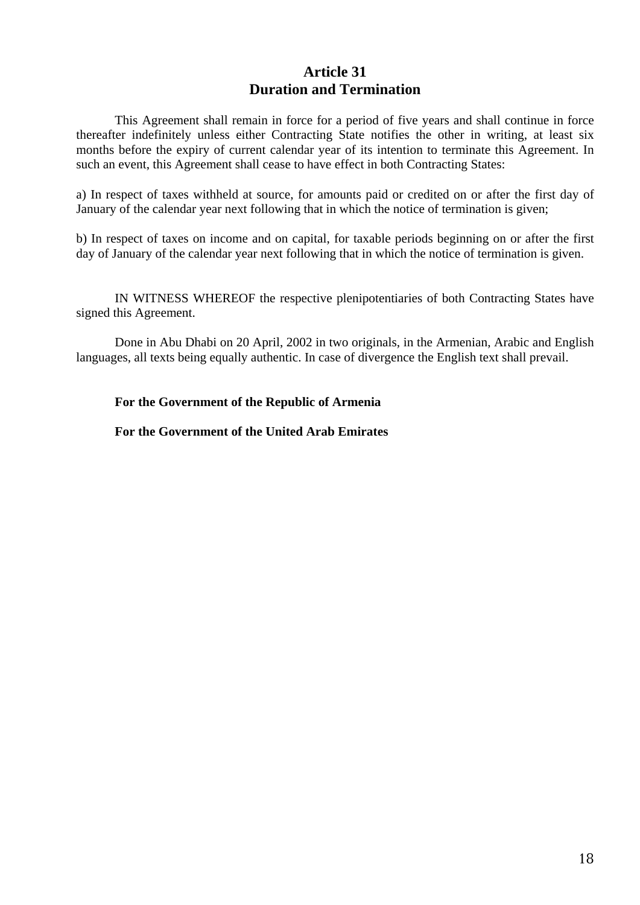# **Article 31 Duration and Termination**

This Agreement shall remain in force for a period of five years and shall continue in force thereafter indefinitely unless either Contracting State notifies the other in writing, at least six months before the expiry of current calendar year of its intention to terminate this Agreement. In such an event, this Agreement shall cease to have effect in both Contracting States:

a) In respect of taxes withheld at source, for amounts paid or credited on or after the first day of January of the calendar year next following that in which the notice of termination is given;

b) In respect of taxes on income and on capital, for taxable periods beginning on or after the first day of January of the calendar year next following that in which the notice of termination is given.

IN WITNESS WHEREOF the respective plenipotentiaries of both Contracting States have signed this Agreement.

Done in Abu Dhabi on 20 April, 2002 in two originals, in the Armenian, Arabic and English languages, all texts being equally authentic. In case of divergence the English text shall prevail.

#### **For the Government of the Republic of Armenia**

**For the Government of the United Arab Emirates**